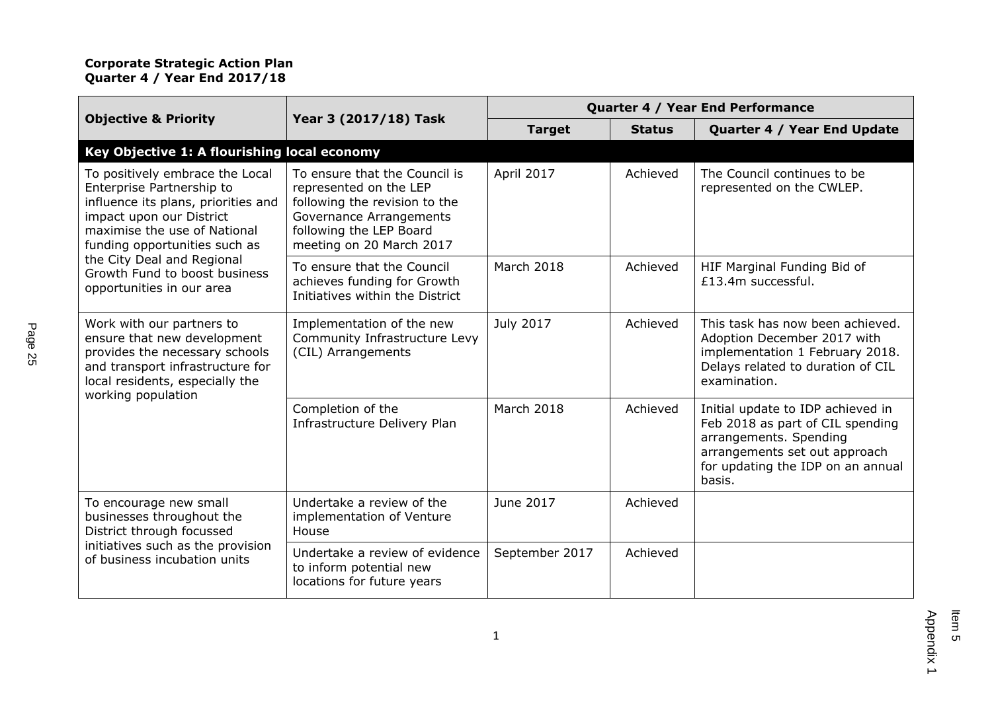| <b>Objective &amp; Priority</b>                                                                                                                                                                                                                                                              | Year 3 (2017/18) Task                                                                                                                                                      | Quarter 4 / Year End Performance |               |                                                                                                                                                                                 |
|----------------------------------------------------------------------------------------------------------------------------------------------------------------------------------------------------------------------------------------------------------------------------------------------|----------------------------------------------------------------------------------------------------------------------------------------------------------------------------|----------------------------------|---------------|---------------------------------------------------------------------------------------------------------------------------------------------------------------------------------|
|                                                                                                                                                                                                                                                                                              |                                                                                                                                                                            | <b>Target</b>                    | <b>Status</b> | Quarter 4 / Year End Update                                                                                                                                                     |
| Key Objective 1: A flourishing local economy                                                                                                                                                                                                                                                 |                                                                                                                                                                            |                                  |               |                                                                                                                                                                                 |
| To positively embrace the Local<br>Enterprise Partnership to<br>influence its plans, priorities and<br>impact upon our District<br>maximise the use of National<br>funding opportunities such as<br>the City Deal and Regional<br>Growth Fund to boost business<br>opportunities in our area | To ensure that the Council is<br>represented on the LEP<br>following the revision to the<br>Governance Arrangements<br>following the LEP Board<br>meeting on 20 March 2017 | April 2017                       | Achieved      | The Council continues to be<br>represented on the CWLEP.                                                                                                                        |
|                                                                                                                                                                                                                                                                                              | To ensure that the Council<br>achieves funding for Growth<br>Initiatives within the District                                                                               | March 2018                       | Achieved      | HIF Marginal Funding Bid of<br>£13.4m successful.                                                                                                                               |
| Work with our partners to<br>ensure that new development<br>provides the necessary schools<br>and transport infrastructure for<br>local residents, especially the                                                                                                                            | Implementation of the new<br>Community Infrastructure Levy<br>(CIL) Arrangements                                                                                           | July 2017                        | Achieved      | This task has now been achieved.<br>Adoption December 2017 with<br>implementation 1 February 2018.<br>Delays related to duration of CIL<br>examination.                         |
| working population                                                                                                                                                                                                                                                                           | Completion of the<br>Infrastructure Delivery Plan                                                                                                                          | March 2018                       | Achieved      | Initial update to IDP achieved in<br>Feb 2018 as part of CIL spending<br>arrangements. Spending<br>arrangements set out approach<br>for updating the IDP on an annual<br>basis. |
| To encourage new small<br>businesses throughout the<br>District through focussed<br>initiatives such as the provision<br>of business incubation units                                                                                                                                        | Undertake a review of the<br>implementation of Venture<br>House                                                                                                            | June 2017                        | Achieved      |                                                                                                                                                                                 |
|                                                                                                                                                                                                                                                                                              | Undertake a review of evidence<br>to inform potential new<br>locations for future years                                                                                    | September 2017                   | Achieved      |                                                                                                                                                                                 |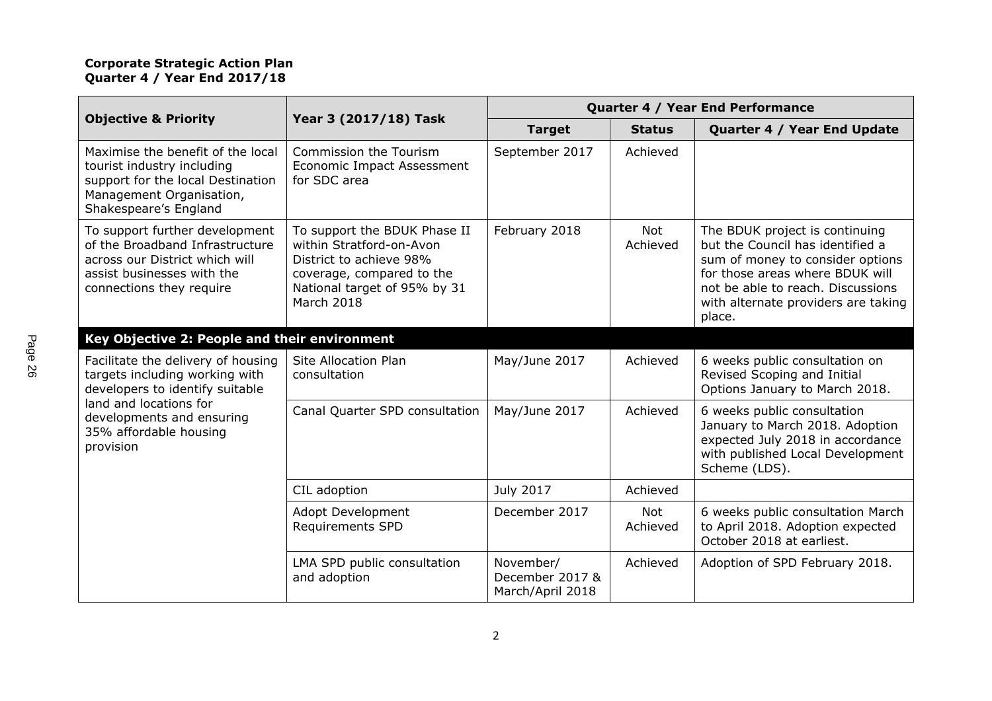|                                                                                                                                                                                                       | Year 3 (2017/18) Task                                                                                                                                          | Quarter 4 / Year End Performance                 |                        |                                                                                                                                                                                                                                 |
|-------------------------------------------------------------------------------------------------------------------------------------------------------------------------------------------------------|----------------------------------------------------------------------------------------------------------------------------------------------------------------|--------------------------------------------------|------------------------|---------------------------------------------------------------------------------------------------------------------------------------------------------------------------------------------------------------------------------|
| <b>Objective &amp; Priority</b>                                                                                                                                                                       |                                                                                                                                                                | <b>Target</b>                                    | <b>Status</b>          | Quarter 4 / Year End Update                                                                                                                                                                                                     |
| Maximise the benefit of the local<br>tourist industry including<br>support for the local Destination<br>Management Organisation,<br>Shakespeare's England                                             | Commission the Tourism<br>Economic Impact Assessment<br>for SDC area                                                                                           | September 2017                                   | Achieved               |                                                                                                                                                                                                                                 |
| To support further development<br>of the Broadband Infrastructure<br>across our District which will<br>assist businesses with the<br>connections they require                                         | To support the BDUK Phase II<br>within Stratford-on-Avon<br>District to achieve 98%<br>coverage, compared to the<br>National target of 95% by 31<br>March 2018 | February 2018                                    | <b>Not</b><br>Achieved | The BDUK project is continuing<br>but the Council has identified a<br>sum of money to consider options<br>for those areas where BDUK will<br>not be able to reach. Discussions<br>with alternate providers are taking<br>place. |
| Key Objective 2: People and their environment                                                                                                                                                         |                                                                                                                                                                |                                                  |                        |                                                                                                                                                                                                                                 |
| Facilitate the delivery of housing<br>targets including working with<br>developers to identify suitable<br>land and locations for<br>developments and ensuring<br>35% affordable housing<br>provision | <b>Site Allocation Plan</b><br>consultation                                                                                                                    | May/June 2017                                    | Achieved               | 6 weeks public consultation on<br>Revised Scoping and Initial<br>Options January to March 2018.                                                                                                                                 |
|                                                                                                                                                                                                       | Canal Quarter SPD consultation                                                                                                                                 | May/June 2017                                    | Achieved               | 6 weeks public consultation<br>January to March 2018. Adoption<br>expected July 2018 in accordance<br>with published Local Development<br>Scheme (LDS).                                                                         |
|                                                                                                                                                                                                       | CIL adoption                                                                                                                                                   | July 2017                                        | Achieved               |                                                                                                                                                                                                                                 |
|                                                                                                                                                                                                       | Adopt Development<br><b>Requirements SPD</b>                                                                                                                   | December 2017                                    | <b>Not</b><br>Achieved | 6 weeks public consultation March<br>to April 2018. Adoption expected<br>October 2018 at earliest.                                                                                                                              |
|                                                                                                                                                                                                       | LMA SPD public consultation<br>and adoption                                                                                                                    | November/<br>December 2017 &<br>March/April 2018 | Achieved               | Adoption of SPD February 2018.                                                                                                                                                                                                  |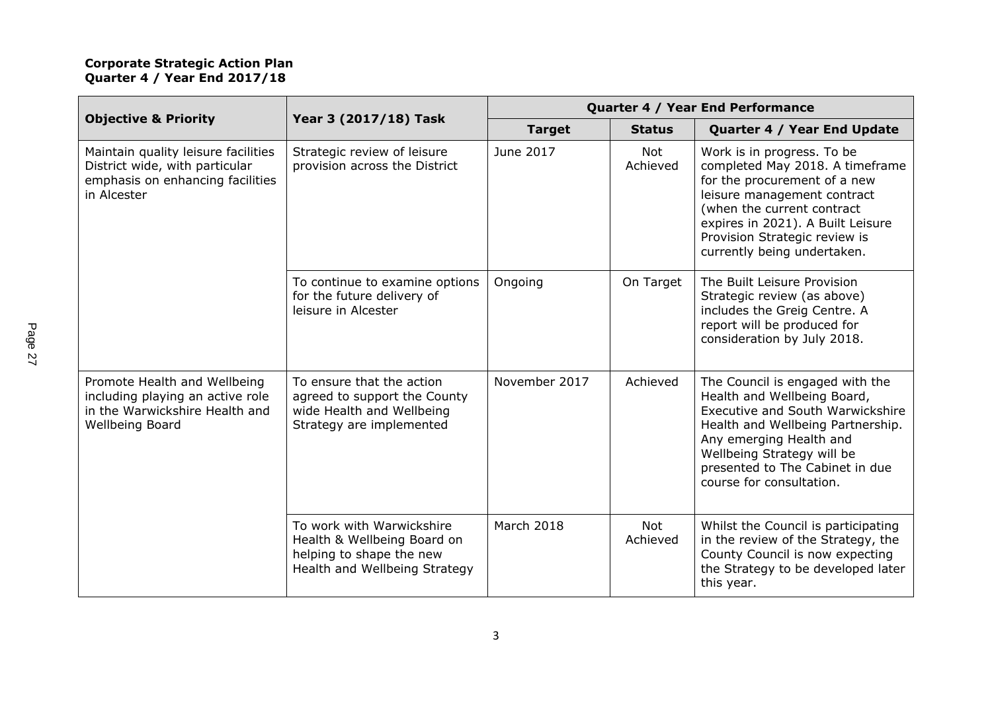| <b>Objective &amp; Priority</b>                                                                                          | Year 3 (2017/18) Task                                                                                                 | Quarter 4 / Year End Performance |                 |                                                                                                                                                                                                                                                                 |
|--------------------------------------------------------------------------------------------------------------------------|-----------------------------------------------------------------------------------------------------------------------|----------------------------------|-----------------|-----------------------------------------------------------------------------------------------------------------------------------------------------------------------------------------------------------------------------------------------------------------|
|                                                                                                                          |                                                                                                                       | <b>Target</b>                    | <b>Status</b>   | Quarter 4 / Year End Update                                                                                                                                                                                                                                     |
| Maintain quality leisure facilities<br>District wide, with particular<br>emphasis on enhancing facilities<br>in Alcester | Strategic review of leisure<br>provision across the District                                                          | June 2017                        | Not<br>Achieved | Work is in progress. To be<br>completed May 2018. A timeframe<br>for the procurement of a new<br>leisure management contract<br>(when the current contract<br>expires in 2021). A Built Leisure<br>Provision Strategic review is<br>currently being undertaken. |
|                                                                                                                          | To continue to examine options<br>for the future delivery of<br>leisure in Alcester                                   | Ongoing                          | On Target       | The Built Leisure Provision<br>Strategic review (as above)<br>includes the Greig Centre. A<br>report will be produced for<br>consideration by July 2018.                                                                                                        |
| Promote Health and Wellbeing<br>including playing an active role<br>in the Warwickshire Health and<br>Wellbeing Board    | To ensure that the action<br>agreed to support the County<br>wide Health and Wellbeing<br>Strategy are implemented    | November 2017                    | Achieved        | The Council is engaged with the<br>Health and Wellbeing Board,<br>Executive and South Warwickshire<br>Health and Wellbeing Partnership.<br>Any emerging Health and<br>Wellbeing Strategy will be<br>presented to The Cabinet in due<br>course for consultation. |
|                                                                                                                          | To work with Warwickshire<br>Health & Wellbeing Board on<br>helping to shape the new<br>Health and Wellbeing Strategy | March 2018                       | Not<br>Achieved | Whilst the Council is participating<br>in the review of the Strategy, the<br>County Council is now expecting<br>the Strategy to be developed later<br>this year.                                                                                                |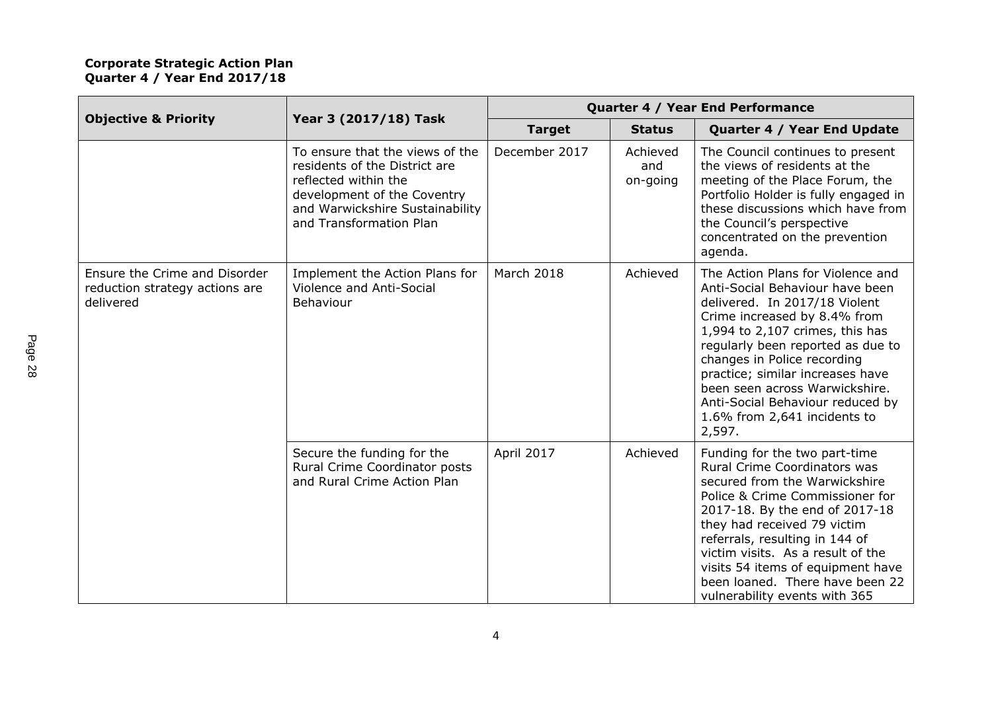|                                                                              |                                                                                                                                                                                       | Quarter 4 / Year End Performance |                             |                                                                                                                                                                                                                                                                                                                                                                                                  |
|------------------------------------------------------------------------------|---------------------------------------------------------------------------------------------------------------------------------------------------------------------------------------|----------------------------------|-----------------------------|--------------------------------------------------------------------------------------------------------------------------------------------------------------------------------------------------------------------------------------------------------------------------------------------------------------------------------------------------------------------------------------------------|
| <b>Objective &amp; Priority</b>                                              | Year 3 (2017/18) Task                                                                                                                                                                 | <b>Target</b>                    | <b>Status</b>               | Quarter 4 / Year End Update                                                                                                                                                                                                                                                                                                                                                                      |
|                                                                              | To ensure that the views of the<br>residents of the District are<br>reflected within the<br>development of the Coventry<br>and Warwickshire Sustainability<br>and Transformation Plan | December 2017                    | Achieved<br>and<br>on-going | The Council continues to present<br>the views of residents at the<br>meeting of the Place Forum, the<br>Portfolio Holder is fully engaged in<br>these discussions which have from<br>the Council's perspective<br>concentrated on the prevention<br>agenda.                                                                                                                                      |
| Ensure the Crime and Disorder<br>reduction strategy actions are<br>delivered | Implement the Action Plans for<br>Violence and Anti-Social<br>Behaviour                                                                                                               | March 2018                       | Achieved                    | The Action Plans for Violence and<br>Anti-Social Behaviour have been<br>delivered. In 2017/18 Violent<br>Crime increased by 8.4% from<br>1,994 to 2,107 crimes, this has<br>regularly been reported as due to<br>changes in Police recording<br>practice; similar increases have<br>been seen across Warwickshire.<br>Anti-Social Behaviour reduced by<br>1.6% from 2,641 incidents to<br>2,597. |
|                                                                              | Secure the funding for the<br>Rural Crime Coordinator posts<br>and Rural Crime Action Plan                                                                                            | April 2017                       | Achieved                    | Funding for the two part-time<br>Rural Crime Coordinators was<br>secured from the Warwickshire<br>Police & Crime Commissioner for<br>2017-18. By the end of 2017-18<br>they had received 79 victim<br>referrals, resulting in 144 of<br>victim visits. As a result of the<br>visits 54 items of equipment have<br>been loaned. There have been 22<br>vulnerability events with 365               |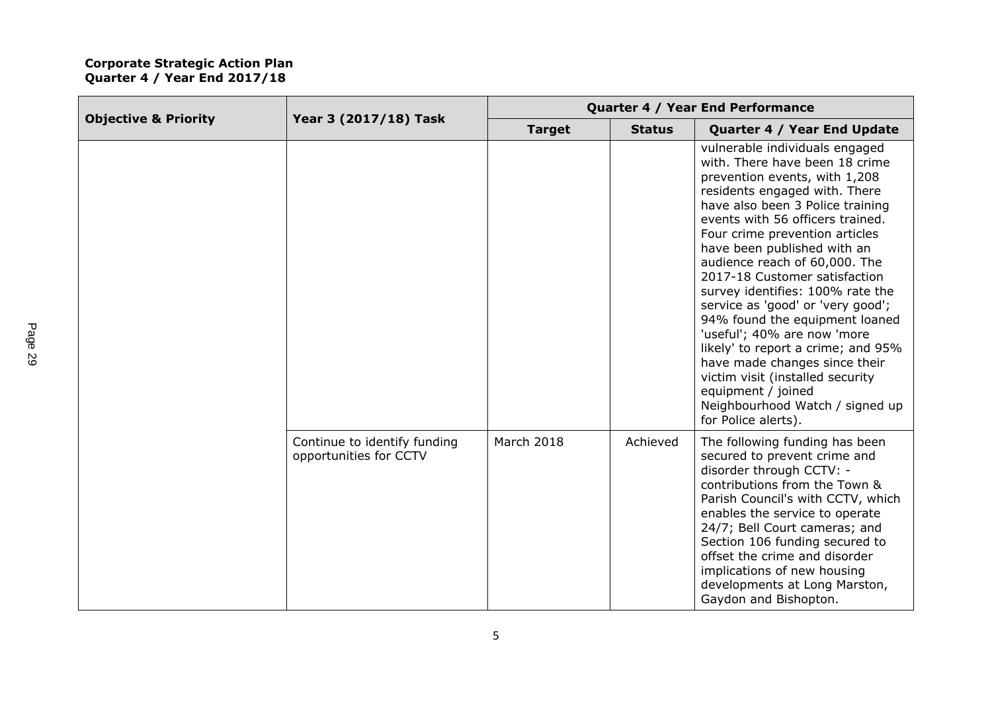| <b>Objective &amp; Priority</b> | Year 3 (2017/18) Task                                  | Quarter 4 / Year End Performance |               |                                                                                                                                                                                                                                                                                                                                                                                                                                                                                                                                                                                                                                                                                    |
|---------------------------------|--------------------------------------------------------|----------------------------------|---------------|------------------------------------------------------------------------------------------------------------------------------------------------------------------------------------------------------------------------------------------------------------------------------------------------------------------------------------------------------------------------------------------------------------------------------------------------------------------------------------------------------------------------------------------------------------------------------------------------------------------------------------------------------------------------------------|
|                                 |                                                        | <b>Target</b>                    | <b>Status</b> | Quarter 4 / Year End Update                                                                                                                                                                                                                                                                                                                                                                                                                                                                                                                                                                                                                                                        |
|                                 |                                                        |                                  |               | vulnerable individuals engaged<br>with. There have been 18 crime<br>prevention events, with 1,208<br>residents engaged with. There<br>have also been 3 Police training<br>events with 56 officers trained.<br>Four crime prevention articles<br>have been published with an<br>audience reach of 60,000. The<br>2017-18 Customer satisfaction<br>survey identifies: 100% rate the<br>service as 'good' or 'very good';<br>94% found the equipment loaned<br>'useful'; 40% are now 'more<br>likely' to report a crime; and 95%<br>have made changes since their<br>victim visit (installed security<br>equipment / joined<br>Neighbourhood Watch / signed up<br>for Police alerts). |
|                                 | Continue to identify funding<br>opportunities for CCTV | March 2018                       | Achieved      | The following funding has been<br>secured to prevent crime and<br>disorder through CCTV: -<br>contributions from the Town &<br>Parish Council's with CCTV, which<br>enables the service to operate<br>24/7; Bell Court cameras; and<br>Section 106 funding secured to<br>offset the crime and disorder<br>implications of new housing<br>developments at Long Marston,<br>Gaydon and Bishopton.                                                                                                                                                                                                                                                                                    |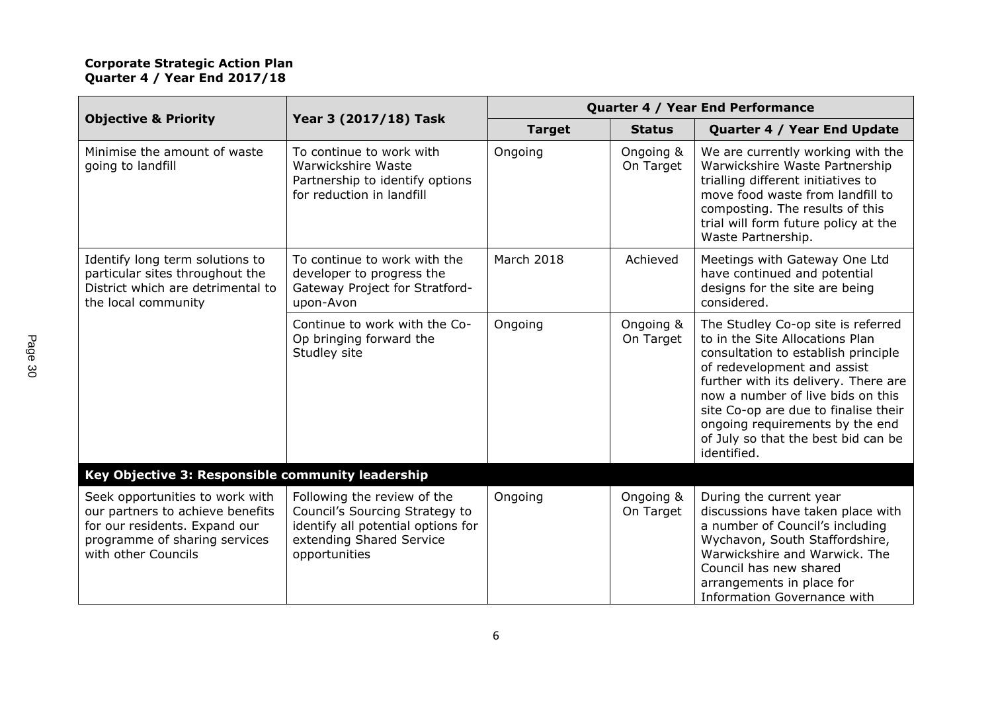| <b>Objective &amp; Priority</b>                                                                                                                              | Year 3 (2017/18) Task                                                                                                                            | Quarter 4 / Year End Performance |                        |                                                                                                                                                                                                                                                                                                                                                           |
|--------------------------------------------------------------------------------------------------------------------------------------------------------------|--------------------------------------------------------------------------------------------------------------------------------------------------|----------------------------------|------------------------|-----------------------------------------------------------------------------------------------------------------------------------------------------------------------------------------------------------------------------------------------------------------------------------------------------------------------------------------------------------|
|                                                                                                                                                              |                                                                                                                                                  | <b>Target</b>                    | <b>Status</b>          | Quarter 4 / Year End Update                                                                                                                                                                                                                                                                                                                               |
| Minimise the amount of waste<br>going to landfill                                                                                                            | To continue to work with<br>Warwickshire Waste<br>Partnership to identify options<br>for reduction in landfill                                   | Ongoing                          | Ongoing &<br>On Target | We are currently working with the<br>Warwickshire Waste Partnership<br>trialling different initiatives to<br>move food waste from landfill to<br>composting. The results of this<br>trial will form future policy at the<br>Waste Partnership.                                                                                                            |
| Identify long term solutions to<br>particular sites throughout the<br>District which are detrimental to<br>the local community                               | To continue to work with the<br>developer to progress the<br>Gateway Project for Stratford-<br>upon-Avon                                         | March 2018                       | Achieved               | Meetings with Gateway One Ltd<br>have continued and potential<br>designs for the site are being<br>considered.                                                                                                                                                                                                                                            |
|                                                                                                                                                              | Continue to work with the Co-<br>Op bringing forward the<br>Studley site                                                                         | Ongoing                          | Ongoing &<br>On Target | The Studley Co-op site is referred<br>to in the Site Allocations Plan<br>consultation to establish principle<br>of redevelopment and assist<br>further with its delivery. There are<br>now a number of live bids on this<br>site Co-op are due to finalise their<br>ongoing requirements by the end<br>of July so that the best bid can be<br>identified. |
| Key Objective 3: Responsible community leadership                                                                                                            |                                                                                                                                                  |                                  |                        |                                                                                                                                                                                                                                                                                                                                                           |
| Seek opportunities to work with<br>our partners to achieve benefits<br>for our residents. Expand our<br>programme of sharing services<br>with other Councils | Following the review of the<br>Council's Sourcing Strategy to<br>identify all potential options for<br>extending Shared Service<br>opportunities | Ongoing                          | Ongoing &<br>On Target | During the current year<br>discussions have taken place with<br>a number of Council's including<br>Wychavon, South Staffordshire,<br>Warwickshire and Warwick. The<br>Council has new shared<br>arrangements in place for<br>Information Governance with                                                                                                  |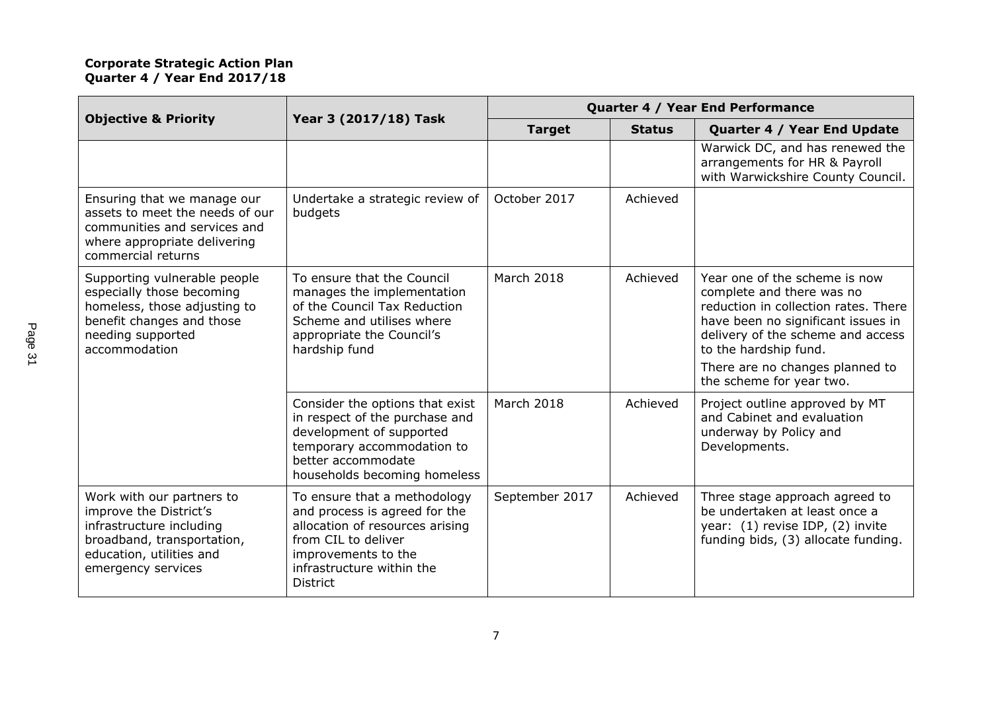| <b>Objective &amp; Priority</b>                                                                                                                                 | Year 3 (2017/18) Task                                                                                                                                                                          | Quarter 4 / Year End Performance |               |                                                                                                                                                                                                                                                                       |
|-----------------------------------------------------------------------------------------------------------------------------------------------------------------|------------------------------------------------------------------------------------------------------------------------------------------------------------------------------------------------|----------------------------------|---------------|-----------------------------------------------------------------------------------------------------------------------------------------------------------------------------------------------------------------------------------------------------------------------|
|                                                                                                                                                                 |                                                                                                                                                                                                | <b>Target</b>                    | <b>Status</b> | Quarter 4 / Year End Update                                                                                                                                                                                                                                           |
|                                                                                                                                                                 |                                                                                                                                                                                                |                                  |               | Warwick DC, and has renewed the<br>arrangements for HR & Payroll<br>with Warwickshire County Council.                                                                                                                                                                 |
| Ensuring that we manage our<br>assets to meet the needs of our<br>communities and services and<br>where appropriate delivering<br>commercial returns            | Undertake a strategic review of<br>budgets                                                                                                                                                     | October 2017                     | Achieved      |                                                                                                                                                                                                                                                                       |
| Supporting vulnerable people<br>especially those becoming<br>homeless, those adjusting to<br>benefit changes and those<br>needing supported<br>accommodation    | To ensure that the Council<br>manages the implementation<br>of the Council Tax Reduction<br>Scheme and utilises where<br>appropriate the Council's<br>hardship fund                            | March 2018                       | Achieved      | Year one of the scheme is now<br>complete and there was no<br>reduction in collection rates. There<br>have been no significant issues in<br>delivery of the scheme and access<br>to the hardship fund.<br>There are no changes planned to<br>the scheme for year two. |
|                                                                                                                                                                 | Consider the options that exist<br>in respect of the purchase and<br>development of supported<br>temporary accommodation to<br>better accommodate<br>households becoming homeless              | March 2018                       | Achieved      | Project outline approved by MT<br>and Cabinet and evaluation<br>underway by Policy and<br>Developments.                                                                                                                                                               |
| Work with our partners to<br>improve the District's<br>infrastructure including<br>broadband, transportation,<br>education, utilities and<br>emergency services | To ensure that a methodology<br>and process is agreed for the<br>allocation of resources arising<br>from CIL to deliver<br>improvements to the<br>infrastructure within the<br><b>District</b> | September 2017                   | Achieved      | Three stage approach agreed to<br>be undertaken at least once a<br>year: (1) revise IDP, (2) invite<br>funding bids, (3) allocate funding.                                                                                                                            |